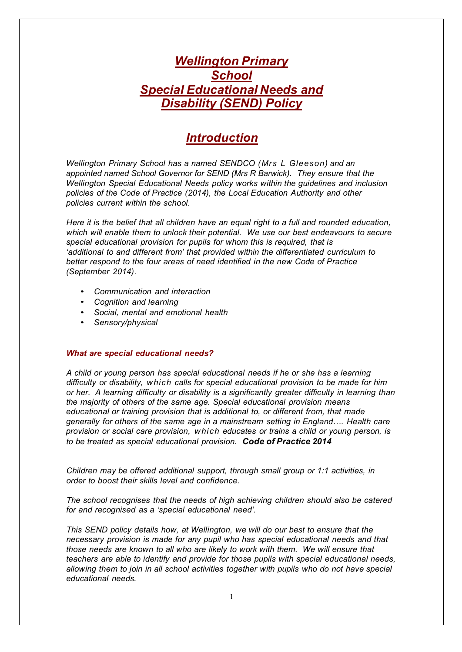## *Wellington Primary School Special Educational Needs and Disability (SEND) Policy*

## *Introduction*

*Wellington Primary School has a named SENDCO (Mrs L Gleeson) and an appointed named School Governor for SEND (Mrs R Barwick). They ensure that the Wellington Special Educational Needs policy works within the guidelines and inclusion policies of the Code of Practice (2014), the Local Education Authority and other policies current within the school.*

*Here it is the belief that all children have an equal right to a full and rounded education, which will enable them to unlock their potential. We use our best endeavours to secure special educational provision for pupils for whom this is required, that is 'additional to and different from' that provided within the differentiated curriculum to better respond to the four areas of need identified in the new Code of Practice (September 2014).*

- *Communication and interaction*
- *Cognition and learning*
- *Social, mental and emotional health*
- *Sensory/physical*

## *What are special educational needs?*

*A child or young person has special educational needs if he or she has a learning difficulty or disability, which calls for special educational provision to be made for him or her. A learning difficulty or disability is a significantly greater difficulty in learning than the majority of others of the same age. Special educational provision means educational or training provision that is additional to, or different from, that made generally for others of the same age in a mainstream setting in England…. Health care provision or social care provision, which educates or trains a child or young person, is to be treated as special educational provision. Code of Practice 2014*

*Children may be offered additional support, through small group or 1:1 activities, in order to boost their skills level and confidence.*

*The school recognises that the needs of high achieving children should also be catered for and recognised as a 'special educational need'.*

*This SEND policy details how, at Wellington, we will do our best to ensure that the necessary provision is made for any pupil who has special educational needs and that those needs are known to all who are likely to work with them. We will ensure that teachers are able to identify and provide for those pupils with special educational needs, allowing them to join in all school activities together with pupils who do not have special educational needs.*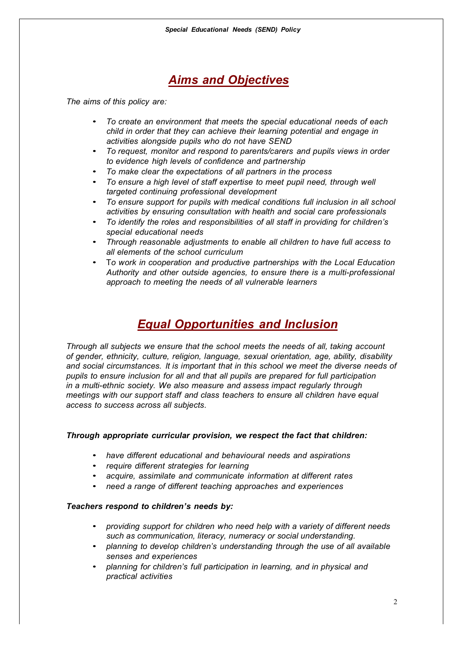# *Aims and Objectives*

*The aims of this policy are:*

- *To create an environment that meets the special educational needs of each child in order that they can achieve their learning potential and engage in activities alongside pupils who do not have SEND*
- *To request, monitor and respond to parents/carers and pupils views in order to evidence high levels of confidence and partnership*
- *To make clear the expectations of all partners in the process*
- *To ensure a high level of staff expertise to meet pupil need, through well targeted continuing professional development*
- *To ensure support for pupils with medical conditions full inclusion in all school activities by ensuring consultation with health and social care professionals*
- *To identify the roles and responsibilities of all staff in providing for children's special educational needs*
- *Through reasonable adjustments to enable all children to have full access to all elements of the school curriculum*
- T*o work in cooperation and productive partnerships with the Local Education Authority and other outside agencies, to ensure there is a multi-professional approach to meeting the needs of all vulnerable learners*

## *Equal Opportunities and Inclusion*

*Through all subjects we ensure that the school meets the needs of all, taking account of gender, ethnicity, culture, religion, language, sexual orientation, age, ability, disability and social circumstances. It is important that in this school we meet the diverse needs of pupils to ensure inclusion for all and that all pupils are prepared for full participation in a multi-ethnic society. We also measure and assess impact regularly through meetings with our support staff and class teachers to ensure all children have equal access to success across all subjects.*

## *Through appropriate curricular provision, we respect the fact that children:*

- *have different educational and behavioural needs and aspirations*
- *require different strategies for learning*
- *acquire, assimilate and communicate information at different rates*
- *need a range of different teaching approaches and experiences*

## *Teachers respond to children's needs by:*

- *providing support for children who need help with a variety of different needs such as communication, literacy, numeracy or social understanding.*
- *planning to develop children's understanding through the use of all available senses and experiences*
- *planning for children's full participation in learning, and in physical and practical activities*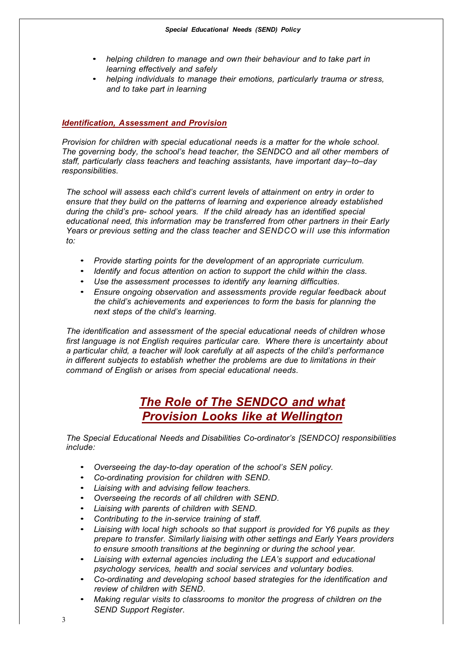- *helping children to manage and own their behaviour and to take part in learning effectively and safely*
- *helping individuals to manage their emotions, particularly trauma or stress, and to take part in learning*

## *Identification, Assessment and Provision*

*Provision for children with special educational needs is a matter for the whole school. The governing body, the school's head teacher, the SENDCO and all other members of staff, particularly class teachers and teaching assistants, have important day–to–day responsibilities.*

*The school will assess each child's current levels of attainment on entry in order to ensure that they build on the patterns of learning and experience already established during the child's pre- school years. If the child already has an identified special educational need, this information may be transferred from other partners in their Early Years or previous setting and the class teacher and SENDCO will use this information to:*

- *Provide starting points for the development of an appropriate curriculum.*
- *Identify and focus attention on action to support the child within the class.*
- *Use the assessment processes to identify any learning difficulties.*
- *Ensure ongoing observation and assessments provide regular feedback about the child's achievements and experiences to form the basis for planning the next steps of the child's learning.*

*The identification and assessment of the special educational needs of children whose first language is not English requires particular care. Where there is uncertainty about a particular child, a teacher will look carefully at all aspects of the child's performance in different subjects to establish whether the problems are due to limitations in their command of English or arises from special educational needs.*

## *The Role of The SENDCO and what Provision Looks like at Wellington*

*The Special Educational Needs and Disabilities Co-ordinator's [SENDCO] responsibilities include:*

- *Overseeing the day-to-day operation of the school's SEN policy.*
- *Co-ordinating provision for children with SEND.*
- *Liaising with and advising fellow teachers.*
- *Overseeing the records of all children with SEND.*
- *Liaising with parents of children with SEND.*
- *Contributing to the in-service training of staff.*
- *Liaising with local high schools so that support is provided for Y6 pupils as they prepare to transfer. Similarly liaising with other settings and Early Years providers to ensure smooth transitions at the beginning or during the school year.*
- *Liaising with external agencies including the LEA's support and educational psychology services, health and social services and voluntary bodies.*
- *Co-ordinating and developing school based strategies for the identification and review of children with SEND.*
- *Making regular visits to classrooms to monitor the progress of children on the SEND Support Register.*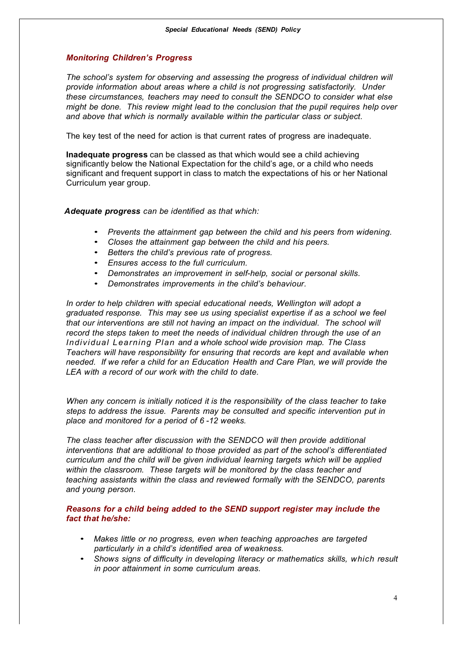### *Monitoring Children's Progress*

*The school's system for observing and assessing the progress of individual children will provide information about areas where a child is not progressing satisfactorily. Under these circumstances, teachers may need to consult the SENDCO to consider what else might be done. This review might lead to the conclusion that the pupil requires help over and above that which is normally available within the particular class or subject.*

The key test of the need for action is that current rates of progress are inadequate.

**Inadequate progress** can be classed as that which would see a child achieving significantly below the National Expectation for the child's age, or a child who needs significant and frequent support in class to match the expectations of his or her National Curriculum year group.

*Adequate progress can be identified as that which:*

- *Prevents the attainment gap between the child and his peers from widening.*
- *Closes the attainment gap between the child and his peers.*
- *Betters the child's previous rate of progress.*
- *Ensures access to the full curriculum.*
- *Demonstrates an improvement in self-help, social or personal skills.*
- *Demonstrates improvements in the child's behaviour.*

*In order to help children with special educational needs, Wellington will adopt a graduated response. This may see us using specialist expertise if as a school we feel that our interventions are still not having an impact on the individual. The school will record the steps taken to meet the needs of individual children through the use of an Individual Learning Plan and a whole school wide provision map. The Class Teachers will have responsibility for ensuring that records are kept and available when needed. If we refer a child for an Education Health and Care Plan, we will provide the LEA with a record of our work with the child to date.*

*When any concern is initially noticed it is the responsibility of the class teacher to take steps to address the issue. Parents may be consulted and specific intervention put in place and monitored for a period of 6 -12 weeks.* 

*The class teacher after discussion with the SENDCO will then provide additional interventions that are additional to those provided as part of the school's differentiated curriculum and the child will be given individual learning targets which will be applied within the classroom. These targets will be monitored by the class teacher and teaching assistants within the class and reviewed formally with the SENDCO, parents and young person.*

### *Reasons for a child being added to the SEND support register may include the fact that he/she:*

- *Makes little or no progress, even when teaching approaches are targeted particularly in a child's identified area of weakness.*
- *Shows signs of difficulty in developing literacy or mathematics skills, which result in poor attainment in some curriculum areas.*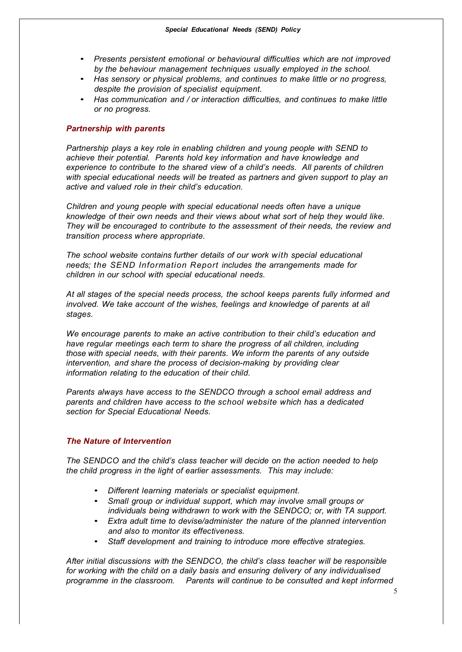- *Presents persistent emotional or behavioural difficulties which are not improved by the behaviour management techniques usually employed in the school.*
- *Has sensory or physical problems, and continues to make little or no progress, despite the provision of specialist equipment.*
- *Has communication and / or interaction difficulties, and continues to make little or no progress.*

#### *Partnership with parents*

*Partnership plays a key role in enabling children and young people with SEND to achieve their potential. Parents hold key information and have knowledge and experience to contribute to the shared view of a child's needs. All parents of children with special educational needs will be treated as partners and given support to play an active and valued role in their child's education.*

*Children and young people with special educational needs often have a unique knowledge of their own needs and their views about what sort of help they would like. They will be encouraged to contribute to the assessment of their needs, the review and transition process where appropriate.*

*The school website contains further details of our work with special educational needs; the SEND Information Report includes the arrangements made for children in our school with special educational needs.*

*At all stages of the special needs process, the school keeps parents fully informed and involved. We take account of the wishes, feelings and knowledge of parents at all stages.*

*We encourage parents to make an active contribution to their child's education and have regular meetings each term to share the progress of all children, including those with special needs, with their parents. We inform the parents of any outside intervention, and share the process of decision-making by providing clear information relating to the education of their child.*

*Parents always have access to the SENDCO through a school email address and parents and children have access to the school website which has a dedicated section for Special Educational Needs.*

#### *The Nature of Intervention*

*The SENDCO and the child's class teacher will decide on the action needed to help the child progress in the light of earlier assessments. This may include:*

- *Different learning materials or specialist equipment.*
- *Small group or individual support, which may involve small groups or individuals being withdrawn to work with the SENDCO; or, with TA support.*
- *Extra adult time to devise/administer the nature of the planned intervention and also to monitor its effectiveness.*
- *Staff development and training to introduce more effective strategies.*

*After initial discussions with the SENDCO, the child's class teacher will be responsible for working with the child on a daily basis and ensuring delivery of any individualised programme in the classroom. Parents will continue to be consulted and kept informed*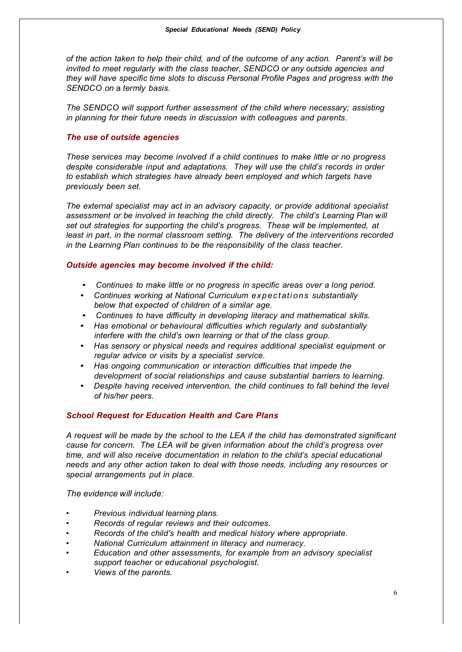*of the action taken to help their child, and of the outcome of any action. Parent's will be invited to meet regularly with the class teacher, SENDCO or any outside agencies and they will have specific time slots to discuss Personal Profile Pages and progress with the SENDCO on* a *termly basis.*

*The SENDCO will support further assessment of the child where necessary; assisting in planning for their future needs in discussion with colleagues and parents.*

## *The use of outside agencies*

*These services may become involved if a child continues to make little or no progress despite considerable input and adaptations. They will use the child's records in order to establish which strategies have already been employed and which targets have previously been set.*

*The external specialist may act in an advisory capacity, or provide additional specialist assessment or be involved in teaching the child directly. The child's Learning Plan will set out strategies for supporting the child's progress. These will be implemented, at least in part, in the normal classroom setting. The delivery of the interventions recorded in the Learning Plan continues to be the responsibility of the class teacher.*

## *Outside agencies may become involved if the child:*

- *Continues to make little or no progress in specific areas over a long period.*
- *Continues working at National Curriculum expectations substantially below that expected of children of a similar age.*
- *Continues to have difficulty in developing literacy and mathematical skills.*
- *Has emotional or behavioural difficulties which regularly and substantially interfere with the child's own learning or that of the class group.*
- *Has sensory or physical needs and requires additional specialist equipment or regular advice or visits by a specialist service.*
- *Has ongoing communication or interaction difficulties that impede the development of social relationships and cause substantial barriers to learning.*
- *Despite having received intervention, the child continues to fall behind the level of his/her peers.*

## *School Request for Education Health and Care Plans*

*A request will be made by the school to the LEA if the child has demonstrated significant cause for concern. The LEA will be given information about the child's progress over time, and will also receive documentation in relation to the child's special educational needs and any other action taken to deal with those needs, including any resources or special arrangements put in place.*

*The evidence will include:*

- *• Previous individual learning plans.*
- *• Records of regular reviews and their outcomes.*
- *• Records of the child's health and medical history where appropriate.*
- *• National Curriculum attainment in literacy and numeracy.*
- *• Education and other assessments, for example from an advisory specialist support teacher or educational psychologist.*
- *• Views of the parents.*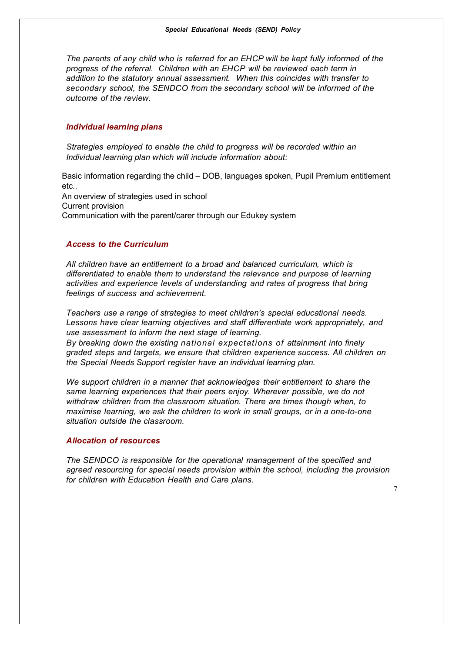*The parents of any child who is referred for an EHCP will be kept fully informed of the progress of the referral. Children with an EHCP will be reviewed each term in addition to the statutory annual assessment. When this coincides with transfer to secondary school, the SENDCO from the secondary school will be informed of the outcome of the review.*

#### *Individual learning plans*

*Strategies employed to enable the child to progress will be recorded within an Individual learning plan which will include information about:*

Basic information regarding the child – DOB, languages spoken, Pupil Premium entitlement etc..

An overview of strategies used in school Current provision Communication with the parent/carer through our Edukey system

### *Access to the Curriculum*

*All children have an entitlement to a broad and balanced curriculum, which is differentiated to enable them to understand the relevance and purpose of learning activities and experience levels of understanding and rates of progress that bring feelings of success and achievement.*

*Teachers use a range of strategies to meet children's special educational needs. Lessons have clear learning objectives and staff differentiate work appropriately, and use assessment to inform the next stage of learning.*

*By breaking down the existing national expectations of attainment into finely graded steps and targets, we ensure that children experience success. All children on the Special Needs Support register have an individual learning plan.*

*We support children in a manner that acknowledges their entitlement to share the same learning experiences that their peers enjoy. Wherever possible, we do not withdraw children from the classroom situation. There are times though when, to maximise learning, we ask the children to work in small groups, or in a one-to-one situation outside the classroom.*

#### *Allocation of resources*

*The SENDCO is responsible for the operational management of the specified and agreed resourcing for special needs provision within the school, including the provision for children with Education Health and Care plans.*